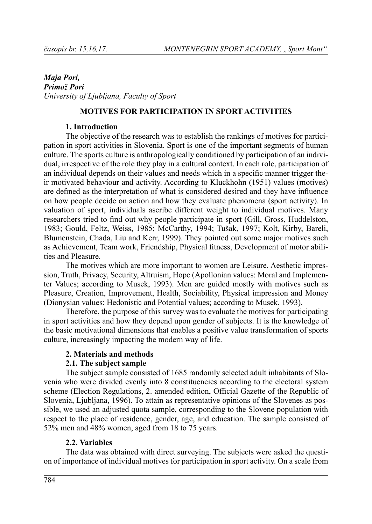## *Maja Pori*, *Pri mož Po ri Uni ver sity of Lju blja na, Fa culty of Sport*

## **MOTIVES FOR PARTICIPATION IN SPORT ACTIVITIES**

## **1. In tro duc tion**

The objective of the research was to establish the rankings of motives for participation in sport activities in Slovenia. Sport is one of the important segments of human culture. The sports culture is anthropologically conditioned by participation of an individual, irrespective of the role they play in a cultural context. In each role, participation of an individual depends on their values and needs which in a specific manner trigger their motivated behaviour and activity. According to Kluckhohn (1951) values (motives) are defined as the interpretation of what is considered desired and they have influence on how people decide on action and how they evaluate phenomena (sport activity). In valuation of sport, individuals ascribe different weight to individual motives. Many researchers tried to find out why people participate in sport (Gill, Gross, Huddelston, 1983; Gould, Feltz, Weiss, 1985; McCarthy, 1994; Tušak, 1997; Kolt, Kirby, Bareli, Blumenstein, Chada, Liu and Kerr, 1999). They pointed out some major motives such as Achievement, Team work, Friendship, Physical fitness, Development of motor abilities and Pleasure.

The motives which are more important to women are Leisure, Aesthetic impression, Truth, Privacy, Security, Altruism, Hope (Apollonian values: Moral and Implementer Values; according to Musek, 1993). Men are guided mostly with motives such as Pleasure, Creation, Improvement, Health, Sociability, Physical impression and Money (Dionysian values: Hedonistic and Potential values; according to Musek, 1993).

Therefore, the purpose of this survey was to evaluate the motives for participating in sport activities and how they depend upon gender of subjects. It is the knowledge of the basic motivational dimensions that enables a positive value transformation of sports culture, increasingly impacting the modern way of life.

## **2. Materials and methods**

## **2.1. The subject sample**

The subject sample consisted of 1685 randomly selected adult inhabitants of Slovenia who were divided evenly into 8 constituencies according to the electoral system scheme (Election Regulations, 2. amended edition, Official Gazette of the Republic of Slovenia, Ljubliana, 1996). To attain as representative opinions of the Slovenes as possible, we used an adjusted quota sample, corresponding to the Slovene population with respect to the place of residence, gender, age, and education. The sample consisted of  $52\%$  men and  $48\%$  women, aged from 18 to 75 years.

## **2.2. Va ri a bles**

The data was obtained with direct surveying. The subjects were asked the question of importance of individual motives for participation in sport activity. On a scale from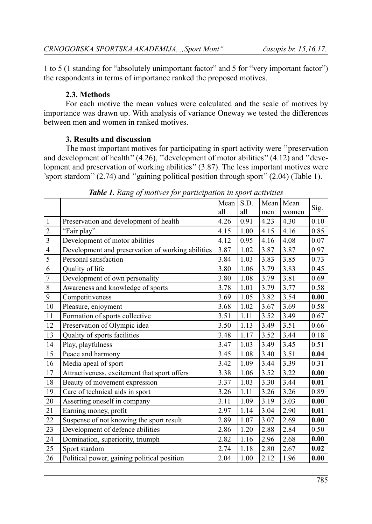1 to 5 (1 standing for "absolutely unimportant factor" and 5 for "very important factor") the respondents in terms of importance ranked the proposed motives.

## **2.3. Met hods**

For each motive the mean values were calculated and the scale of motives by importance was drawn up. With analysis of variance Oneway we tested the differences between men and women in ranked motives.

# **3. Results and discussion**

The most important motives for participating in sport activity were "preservation" and development of health"  $(4.26)$ , "development of motor abilities"  $(4.12)$  and "development and preservation of working abilities" (3.87). The less important motives were 'sport stardom''  $(2.74)$  and "gaining political position through sport"  $(2.04)$  (Table 1).

|                         |                                                   | Mean | S.D. | Mean | Mean  | Sig. |
|-------------------------|---------------------------------------------------|------|------|------|-------|------|
|                         |                                                   | all  | all  | men  | women |      |
| 1                       | Preservation and development of health            | 4.26 | 0.91 | 4.23 | 4.30  | 0.10 |
| $\overline{c}$          | "Fair play"                                       | 4.15 | 1.00 | 4.15 | 4.16  | 0.85 |
| $\overline{\mathbf{3}}$ | Development of motor abilities                    | 4.12 | 0.95 | 4.16 | 4.08  | 0.07 |
| $\overline{4}$          | Development and preservation of working abilities | 3.87 | 1.02 | 3.87 | 3.87  | 0.97 |
| 5                       | Personal satisfaction                             | 3.84 | 1.03 | 3.83 | 3.85  | 0.73 |
| 6                       | Quality of life                                   | 3.80 | 1.06 | 3.79 | 3.83  | 0.45 |
| 7                       | Development of own personality                    | 3.80 | 1.08 | 3.79 | 3.81  | 0.69 |
| 8                       | Awareness and knowledge of sports                 | 3.78 | 1.01 | 3.79 | 3.77  | 0.58 |
| 9                       | Competitiveness                                   | 3.69 | 1.05 | 3.82 | 3.54  | 0.00 |
| 10                      | Pleasure, enjoyment                               | 3.68 | 1.02 | 3.67 | 3.69  | 0.58 |
| 11                      | Formation of sports collective                    | 3.51 | 1.11 | 3.52 | 3.49  | 0.67 |
| 12                      | Preservation of Olympic idea                      | 3.50 | 1.13 | 3.49 | 3.51  | 0.66 |
| 13                      | Quality of sports facilities                      | 3.48 | 1.17 | 3.52 | 3.44  | 0.18 |
| 14                      | Play, playfulness                                 | 3.47 | 1.03 | 3.49 | 3.45  | 0.51 |
| 15                      | Peace and harmony                                 | 3.45 | 1.08 | 3.40 | 3.51  | 0.04 |
| 16                      | Media apeal of sport                              | 3.42 | 1.09 | 3.44 | 3.39  | 0.31 |
| 17                      | Attractiveness, excitement that sport offers      | 3.38 | 1.06 | 3.52 | 3.22  | 0.00 |
| 18                      | Beauty of movement expression                     | 3.37 | 1.03 | 3.30 | 3.44  | 0.01 |
| 19                      | Care of technical aids in sport                   | 3.26 | 1.11 | 3.26 | 3.26  | 0.89 |
| 20                      | Asserting oneself in company                      | 3.11 | 1.09 | 3.19 | 3.03  | 0.00 |
| 21                      | Earning money, profit                             | 2.97 | 1.14 | 3.04 | 2.90  | 0.01 |
| 22                      | Suspense of not knowing the sport result          | 2.89 | 1.07 | 3.07 | 2.69  | 0.00 |
| 23                      | Development of defence abilities                  | 2.86 | 1.20 | 2.88 | 2.84  | 0.50 |
| 24                      | Domination, superiority, triumph                  | 2.82 | 1.16 | 2.96 | 2.68  | 0.00 |
| 25                      | Sport stardom                                     | 2.74 | 1.18 | 2.80 | 2.67  | 0.02 |
| 26                      | Political power, gaining political position       | 2.04 | 1.00 | 2.12 | 1.96  | 0.00 |

*Table 1.* Rang of motives for participation in sport activities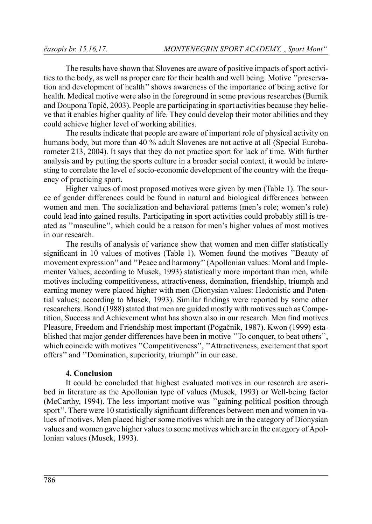The results have shown that Slovenes are aware of positive impacts of sport activities to the body, as well as proper care for their health and well being. Motive "preservation and development of health" shows awareness of the importance of being active for health. Medical motive were also in the foreground in some previous researches (Burnik and Doupona Topič, 2003). People are participating in sport activities because they believe that it enables higher quality of life. They could develop their motor abilities and they could achieve higher level of working abilities.

The results indicate that people are aware of important role of physical activity on humans body, but more than 40 % adult Slovenes are not active at all (Special Eurobarometer 213, 2004). It says that they do not practice sport for lack of time. With further analysis and by putting the sports culture in a broader social context, it would be interesting to correlate the level of socio-economic development of the country with the frequency of practicing sport.

Higher values of most proposed motives were given by men (Table 1). The source of gender differences could be found in natural and biological differences between women and men. The socialization and behavioral patterns (men's role; women's role) could lead into gained results. Participating in sport activities could probably still is treated as "masculine", which could be a reason for men's higher values of most motives in our research

The results of analysis of variance show that women and men differ statistically significant in 10 values of motives (Table 1). Women found the motives "Beauty of movement expression" and "Peace and harmony" (Apollonian values: Moral and Implementer Values; according to Musek, 1993) statistically more important than men, while motives including competitiveness, attractiveness, domination, friendship, triumph and earning money were placed higher with men (Dionysian values: Hedonistic and Potential values; according to Musek, 1993). Similar findings were reported by some other researchers. Bond (1988) stated that men are guided mostly with motives such as Competition. Success and Achievement what has shown also in our research. Men find motives Pleasure, Freedom and Friendship most important (Pogačnik, 1987). Kwon (1999) established that major gender differences have been in motive "To conquer, to beat others", which coincide with motives "Competitiveness", "Attractiveness, excitement that sport offers" and "Domination, superiority, triumph" in our case.

#### **4. Con clu sion**

It could be concluded that highest evaluated motives in our research are ascribed in literature as the Apollonian type of values (Musek, 1993) or Well-being factor (McCarthy, 1994). The less important motive was "gaining political position through sport". There were 10 statistically significant differences between men and women in values of motives. Men placed higher some motives which are in the category of Dionysian values and women gave higher values to some motives which are in the category of Apollonian values (Musek, 1993).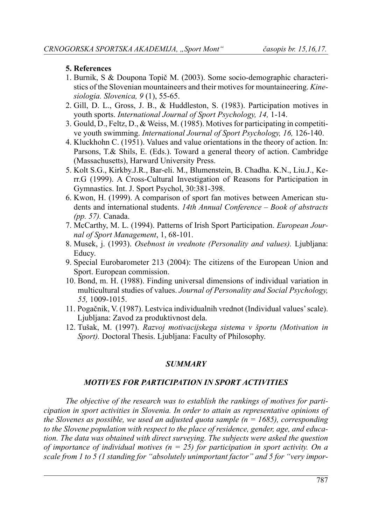#### **5. Re fe ren ces**

- 1. Burnik, S & Doupona Topič M. (2003). Some socio-demographic characteristics of the Slovenian mountaineers and their motives for mountaineering. *Kinesi o lo gia. Slo ve ni ca, 9* (1), 55-65.
- 2. Gill, D. L., Gross, J. B., & Huddleston, S. (1983). Participation motives in youth sports. *International Journal of Sport Psychology, 14, 1-14.*
- 3. Gould, D., Feltz, D., & Weiss, M. (1985). Motives for participating in competitive youth swimming. *International Journal of Sport Psychology*, 16, 126-140.
- 4. Kluckhohn C. (1951). Values and value orientations in the theory of action. In: Parsons, T.& Shils, E. (Eds.). Toward a general theory of action. Cambridge (Massachusetts), Harward University Press.
- 5. Kolt S.G., Kirkby.J.R., Bar-eli. M., Blumenstein, B. Chadha. K.N., Liu.J., Kerr.G (1999). A Cross-Cultural Investigation of Reasons for Participation in Gymnastics. Int. J. Sport Psychol, 30:381-398.
- 6. Kwon, H. (1999). A comparison of sport fan motives between American students and international students. *14th Annual Conference – Book of abstracts (pp. 57)*. Canada.
- 7. McCarthy, M. L. (1994). Patterns of Irish Sport Participation. *European Journal of Sport Management*, 1, 68-101.
- 8. Musek, j. (1993). *Osebnost in vrednote (Personality and values)*. Ljubljana: Educy.
- 9. Special Eurobarometer 213 (2004): The citizens of the European Union and Sport. European commission.
- 10. Bond, m. H. (1988). Finding universal dimensions of individual variation in multicultural studies of values. *Journal of Personality and Social Psychology*, *55,* 1009-1015.
- 11. Pogačnik, V. (1987). Lestvica individualnih vrednot (Individual values' scale). Ljubljana: Zavod za produktivnost dela.
- 12. Tušak, M. (1997). *Razvoj motivacijskega sistema v športu (Motivation in Sport)*. Doctoral Thesis. Ljubliana: Faculty of Philosophy.

# *SUM MARY*

## *MO TI VES FOR PAR TI CI PA TION IN SPORT AC TI VI TI ES*

The objective of the research was to establish the rankings of motives for parti*cipation in sport activities in Slovenia. In order to attain as representative opinions of the Slovenes as possible, we used an adjusted quota sample (n = 1685), corresponding* to the Slovene population with respect to the place of residence, gender, age, and education. The data was obtained with direct surveying. The subjects were asked the question *of importance of individual motives (* $n = 25$ *) for participation in sport activity. On a scale from 1 to 5 (1 standing for "absolutely unimportant factor" and 5 for "very impor-*